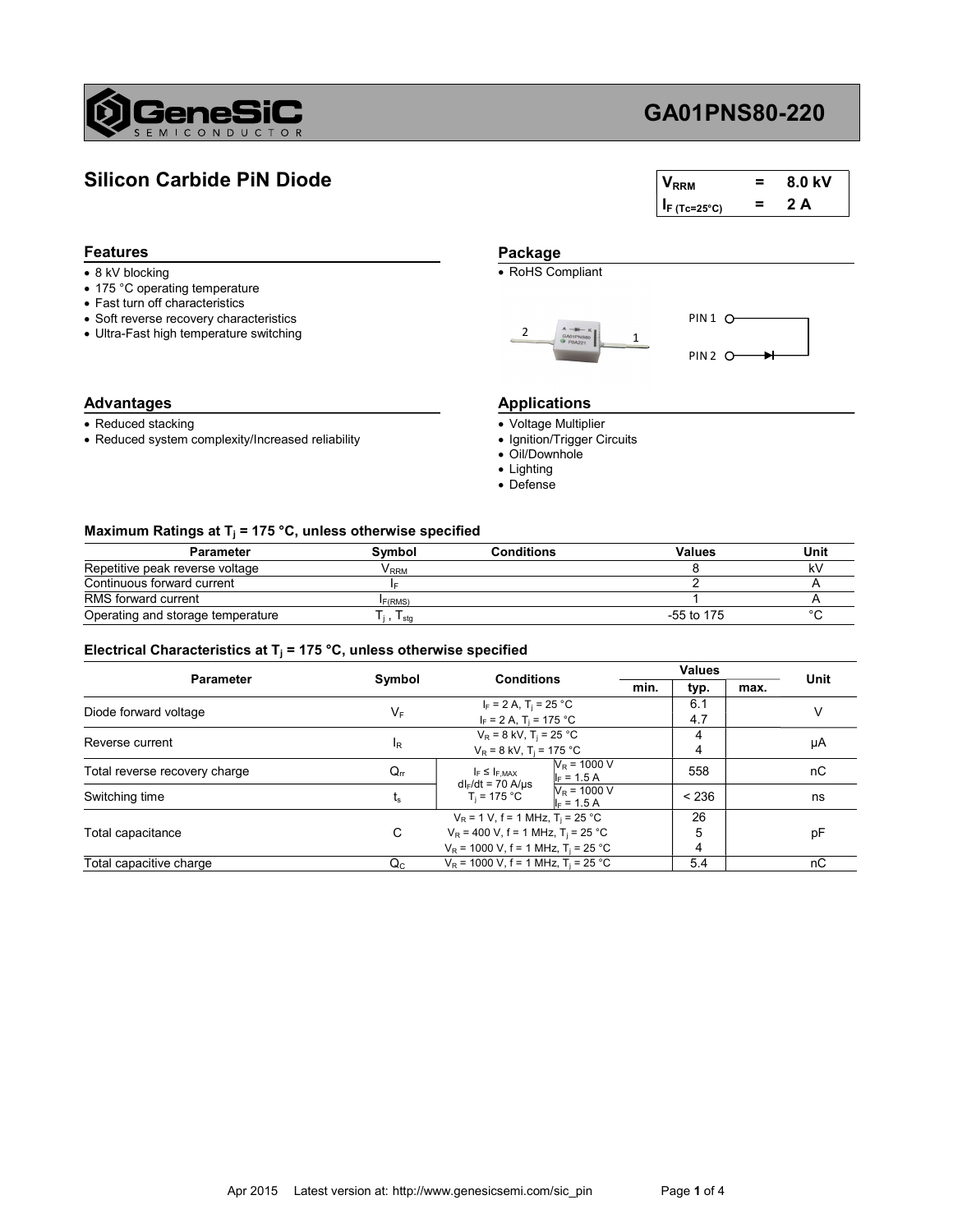

## Silicon Carbide PiN Diode

| <b>V<sub>RRM</sub></b> | = | 8.0 kV |
|------------------------|---|--------|
| $I_{F (Tc=25°C)}$      | = | 2 A    |

### Features **Package**

- 
- 175 °C operating temperature
- Fast turn off characteristics
- Soft reverse recovery characteristics
- Ultra-Fast high temperature switching

- Reduced stacking
- Reduced system complexity/Increased reliability

• 8 kV blocking **RoHS** Compliant





## Advantages Applications

- Voltage Multiplier
- Ignition/Trigger Circuits
- Oil/Downhole
- Lighting
- Defense

#### Maximum Ratings at  $T_j$  = 175 °C, unless otherwise specified

| Parameter                         | Symbol       | <b>Conditions</b> | Values       | Unit    |
|-----------------------------------|--------------|-------------------|--------------|---------|
| Repetitive peak reverse voltage   | <b>V</b> RRM |                   |              | k١      |
| Continuous forward current        |              |                   |              |         |
| RMS forward current               | F(RMS)       |                   |              |         |
| Operating and storage temperature | I stg        |                   | $-55$ to 175 | $\circ$ |

### Electrical Characteristics at T<sub>j</sub> = 175 °C, unless otherwise specified

| <b>Parameter</b>              | Symbol         | <b>Conditions</b>                                 |                                          | <b>Values</b> |       |      |      |
|-------------------------------|----------------|---------------------------------------------------|------------------------------------------|---------------|-------|------|------|
|                               |                |                                                   |                                          | min.          | typ.  | max. | Unit |
| Diode forward voltage         | VF             | $I_F = 2 A$ , T <sub>i</sub> = 25 °C              |                                          |               | 6.1   |      | V    |
|                               |                | $I_F = 2 A$ , $T_i = 175 °C$                      |                                          | 4.7           |       |      |      |
| Reverse current               |                | $V_R = 8$ kV, T <sub>i</sub> = 25 °C              |                                          | 4             |       |      |      |
|                               | 1 <sub>R</sub> | $V_R = 8$ kV, T <sub>i</sub> = 175 °C             |                                          |               | 4     |      | μA   |
| Total reverse recovery charge | $Q_{rr}$       | $I_F \leq I_{F,MAX}$                              | $N_R$ = 1000 V                           |               | 558   |      | nC   |
|                               |                | $dl_F/dt = 70$ A/us                               | $I_F = 1.5 A$                            |               |       |      |      |
| Switching time                | $t_{\rm s}$    | $T_i = 175 °C$                                    | $N_R = 1000 \text{ V}$<br>$\ _F = 1.5 A$ |               | < 236 |      | ns   |
|                               |                | $V_R$ = 1 V, f = 1 MHz, T <sub>i</sub> = 25 °C    |                                          |               | 26    |      |      |
| Total capacitance             | C              | $V_R$ = 400 V, f = 1 MHz, T <sub>i</sub> = 25 °C  |                                          | 5             |       | рF   |      |
|                               |                | $V_R$ = 1000 V, f = 1 MHz, T <sub>i</sub> = 25 °C |                                          |               | 4     |      |      |
| Total capacitive charge       | $Q_{C}$        | $V_R$ = 1000 V, f = 1 MHz, T <sub>i</sub> = 25 °C |                                          |               | 5.4   |      | nC   |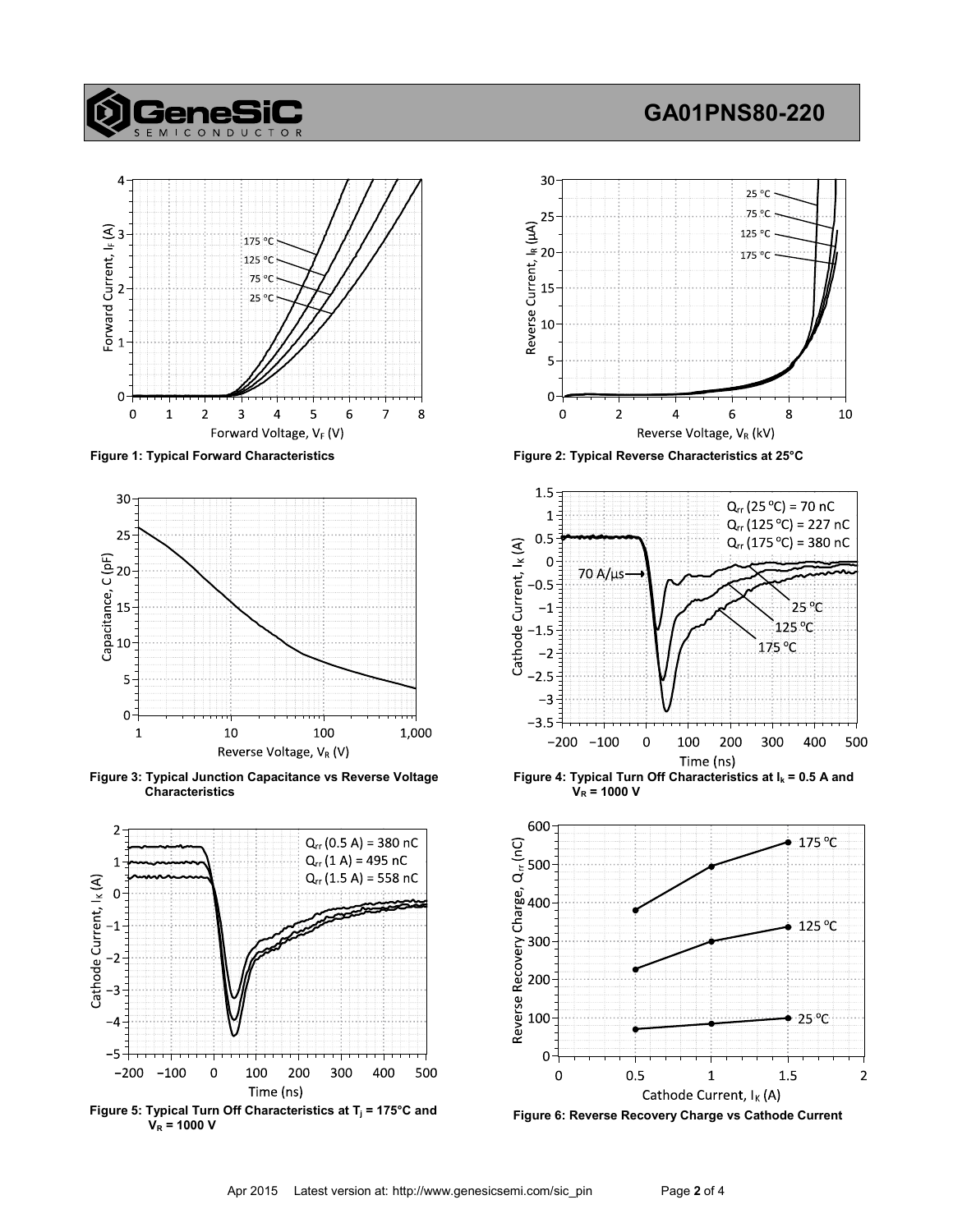

**Genes** 

 $D$  U



Figure 3: Typical Junction Capacitance vs Reverse Voltage **Characteristics** 



Figure 5: Typical Turn Off Characteristics at  $T_j = 175^{\circ}$ C and  $V_R$  = 1000 V



Figure 1: Typical Forward Characteristics Figure 2: Typical Reverse Characteristics at 25°C



Figure 4: Typical Turn Off Characteristics at  $I_k = 0.5$  A and  $V_R$  = 1000 V



Figure 6: Reverse Recovery Charge vs Cathode Current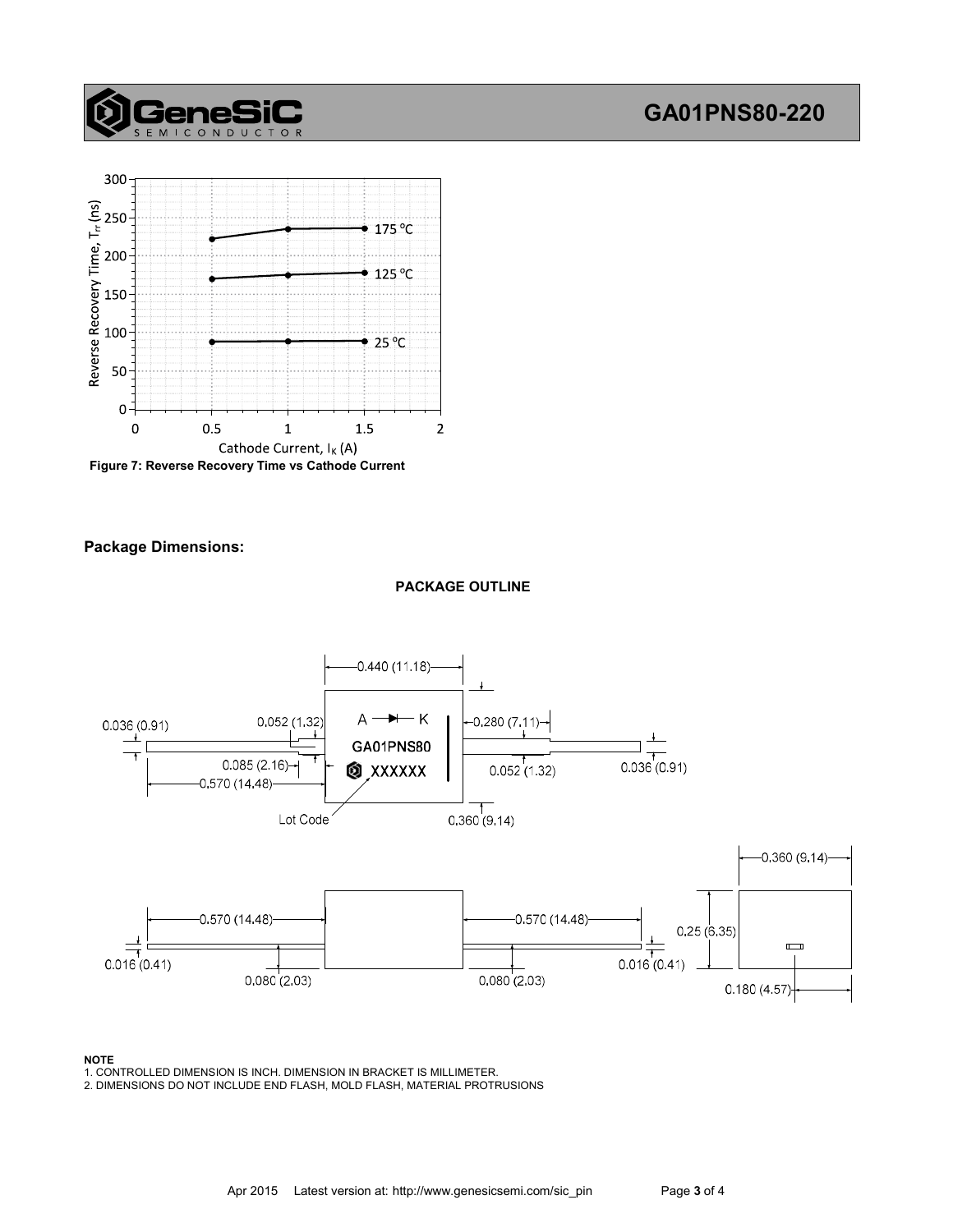

ene!  $C$  O N

D U

Figure 7: Reverse Recovery Time vs Cathode Current

### Package Dimensions:

#### PACKAGE OUTLINE



#### NOTE

1. CONTROLLED DIMENSION IS INCH. DIMENSION IN BRACKET IS MILLIMETER.

2. DIMENSIONS DO NOT INCLUDE END FLASH, MOLD FLASH, MATERIAL PROTRUSIONS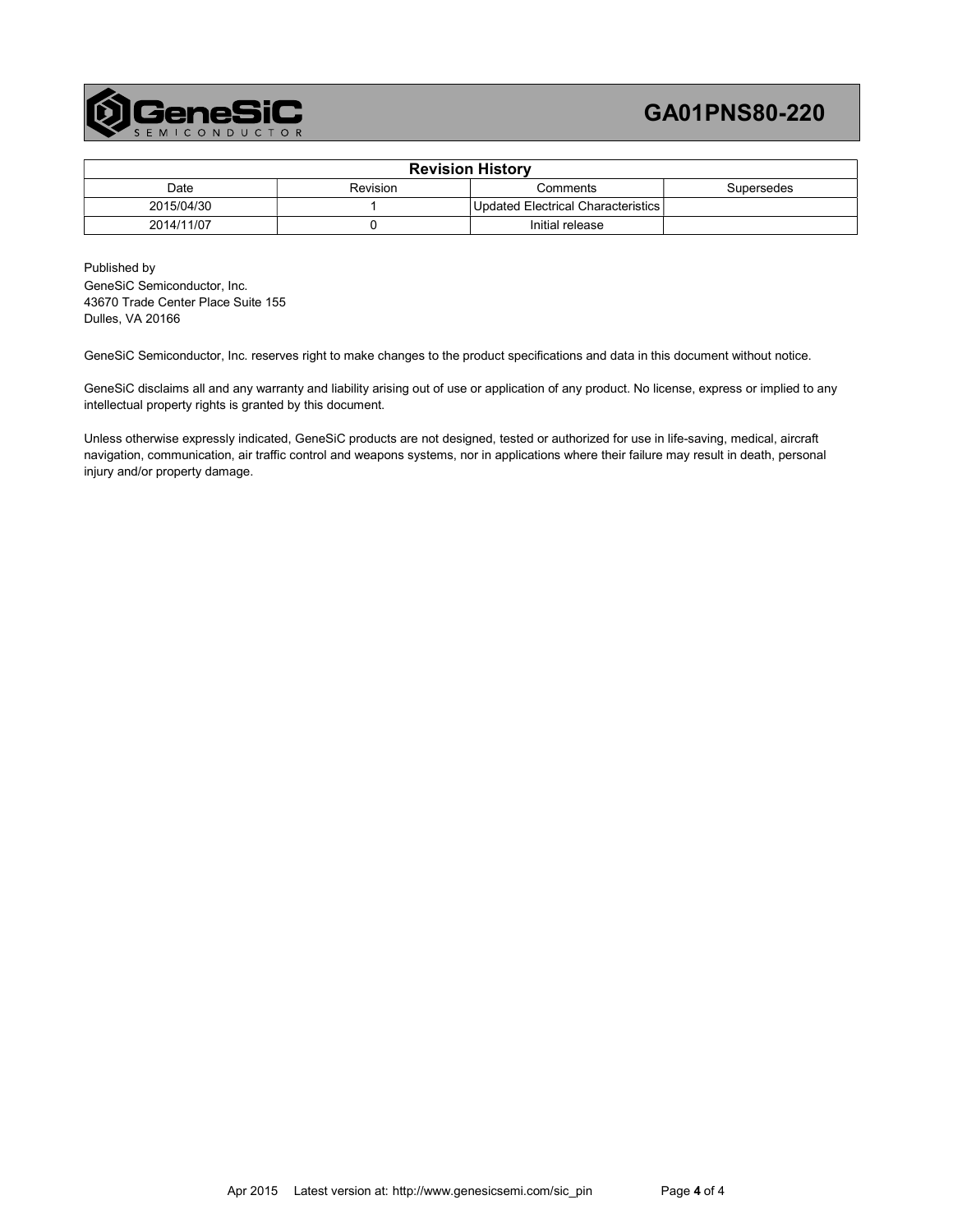

| <b>Revision History</b> |          |                                    |            |  |
|-------------------------|----------|------------------------------------|------------|--|
| Date                    | Revision | Comments                           | Supersedes |  |
| 2015/04/30              |          | Updated Electrical Characteristics |            |  |
| 2014/11/07              |          | Initial release                    |            |  |

Published by GeneSiC Semiconductor, Inc. 43670 Trade Center Place Suite 155 Dulles, VA 20166

GeneSiC Semiconductor, Inc. reserves right to make changes to the product specifications and data in this document without notice.

GeneSiC disclaims all and any warranty and liability arising out of use or application of any product. No license, express or implied to any intellectual property rights is granted by this document.

Unless otherwise expressly indicated, GeneSiC products are not designed, tested or authorized for use in life-saving, medical, aircraft navigation, communication, air traffic control and weapons systems, nor in applications where their failure may result in death, personal injury and/or property damage.